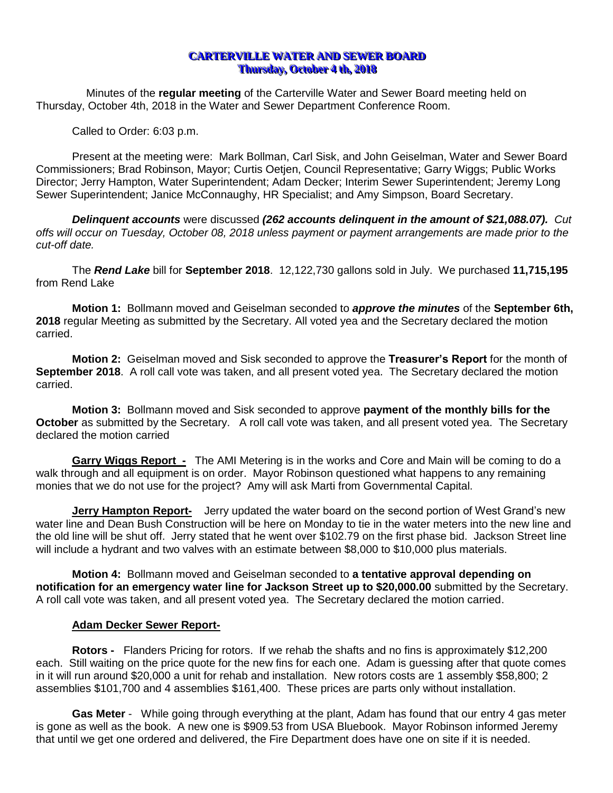# **CARTERVILLE WATER AND SEWER BOARD Thursday, October 4 th, 2018**

Minutes of the **regular meeting** of the Carterville Water and Sewer Board meeting held on Thursday, October 4th, 2018 in the Water and Sewer Department Conference Room.

Called to Order: 6:03 p.m.

Present at the meeting were: Mark Bollman, Carl Sisk, and John Geiselman, Water and Sewer Board Commissioners; Brad Robinson, Mayor; Curtis Oetjen, Council Representative; Garry Wiggs; Public Works Director; Jerry Hampton, Water Superintendent; Adam Decker; Interim Sewer Superintendent; Jeremy Long Sewer Superintendent; Janice McConnaughy, HR Specialist; and Amy Simpson, Board Secretary.

*Delinquent accounts* were discussed *(262 accounts delinquent in the amount of \$21,088.07). Cut offs will occur on Tuesday, October 08, 2018 unless payment or payment arrangements are made prior to the cut-off date.*

The *Rend Lake* bill for **September 2018**. 12,122,730 gallons sold in July. We purchased **11,715,195**  from Rend Lake

**Motion 1:** Bollmann moved and Geiselman seconded to *approve the minutes* of the **September 6th, 2018** regular Meeting as submitted by the Secretary. All voted yea and the Secretary declared the motion carried.

**Motion 2:** Geiselman moved and Sisk seconded to approve the **Treasurer's Report** for the month of **September 2018**. A roll call vote was taken, and all present voted yea. The Secretary declared the motion carried.

**Motion 3:** Bollmann moved and Sisk seconded to approve **payment of the monthly bills for the October** as submitted by the Secretary. A roll call vote was taken, and all present voted yea. The Secretary declared the motion carried

**Garry Wiggs Report -** The AMI Metering is in the works and Core and Main will be coming to do a walk through and all equipment is on order. Mayor Robinson questioned what happens to any remaining monies that we do not use for the project? Amy will ask Marti from Governmental Capital.

**Jerry Hampton Report-** Jerry updated the water board on the second portion of West Grand's new water line and Dean Bush Construction will be here on Monday to tie in the water meters into the new line and the old line will be shut off. Jerry stated that he went over \$102.79 on the first phase bid. Jackson Street line will include a hydrant and two valves with an estimate between \$8,000 to \$10,000 plus materials.

**Motion 4:** Bollmann moved and Geiselman seconded to **a tentative approval depending on notification for an emergency water line for Jackson Street up to \$20,000.00** submitted by the Secretary. A roll call vote was taken, and all present voted yea. The Secretary declared the motion carried.

# **Adam Decker Sewer Report-**

**Rotors -** Flanders Pricing for rotors. If we rehab the shafts and no fins is approximately \$12,200 each. Still waiting on the price quote for the new fins for each one. Adam is guessing after that quote comes in it will run around \$20,000 a unit for rehab and installation. New rotors costs are 1 assembly \$58,800; 2 assemblies \$101,700 and 4 assemblies \$161,400. These prices are parts only without installation.

**Gas Meter** - While going through everything at the plant, Adam has found that our entry 4 gas meter is gone as well as the book. A new one is \$909.53 from USA Bluebook. Mayor Robinson informed Jeremy that until we get one ordered and delivered, the Fire Department does have one on site if it is needed.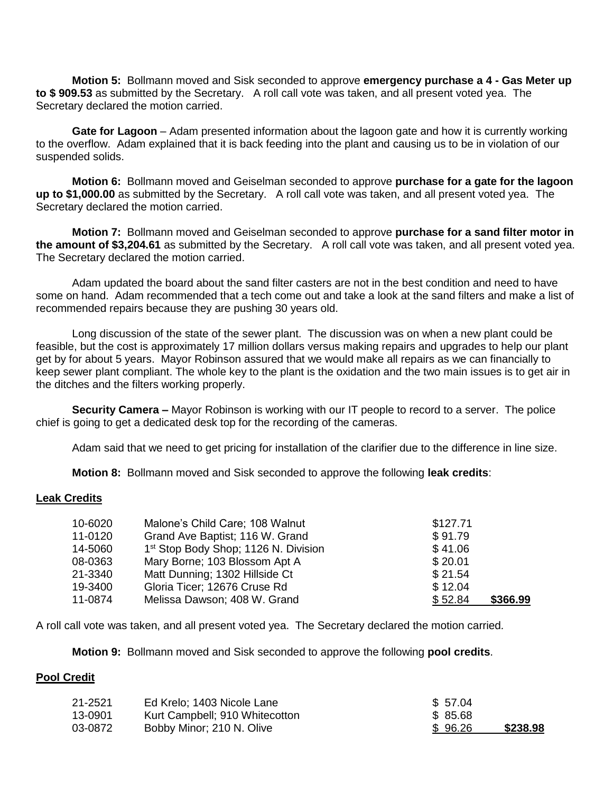**Motion 5:** Bollmann moved and Sisk seconded to approve **emergency purchase a 4 - Gas Meter up to \$ 909.53** as submitted by the Secretary. A roll call vote was taken, and all present voted yea. The Secretary declared the motion carried.

**Gate for Lagoon** – Adam presented information about the lagoon gate and how it is currently working to the overflow. Adam explained that it is back feeding into the plant and causing us to be in violation of our suspended solids.

**Motion 6:** Bollmann moved and Geiselman seconded to approve **purchase for a gate for the lagoon up to \$1,000.00** as submitted by the Secretary. A roll call vote was taken, and all present voted yea. The Secretary declared the motion carried.

**Motion 7:** Bollmann moved and Geiselman seconded to approve **purchase for a sand filter motor in the amount of \$3,204.61** as submitted by the Secretary. A roll call vote was taken, and all present voted yea. The Secretary declared the motion carried.

Adam updated the board about the sand filter casters are not in the best condition and need to have some on hand. Adam recommended that a tech come out and take a look at the sand filters and make a list of recommended repairs because they are pushing 30 years old.

Long discussion of the state of the sewer plant. The discussion was on when a new plant could be feasible, but the cost is approximately 17 million dollars versus making repairs and upgrades to help our plant get by for about 5 years. Mayor Robinson assured that we would make all repairs as we can financially to keep sewer plant compliant. The whole key to the plant is the oxidation and the two main issues is to get air in the ditches and the filters working properly.

**Security Camera –** Mayor Robinson is working with our IT people to record to a server. The police chief is going to get a dedicated desk top for the recording of the cameras.

Adam said that we need to get pricing for installation of the clarifier due to the difference in line size.

**Motion 8:** Bollmann moved and Sisk seconded to approve the following **leak credits**:

#### **Leak Credits**

| 10-6020 | Malone's Child Care; 108 Walnut                  | \$127.71 |          |
|---------|--------------------------------------------------|----------|----------|
| 11-0120 | Grand Ave Baptist; 116 W. Grand                  | \$91.79  |          |
| 14-5060 | 1 <sup>st</sup> Stop Body Shop; 1126 N. Division | \$41.06  |          |
| 08-0363 | Mary Borne; 103 Blossom Apt A                    | \$20.01  |          |
| 21-3340 | Matt Dunning; 1302 Hillside Ct                   | \$21.54  |          |
| 19-3400 | Gloria Ticer; 12676 Cruse Rd                     | \$12.04  |          |
| 11-0874 | Melissa Dawson; 408 W. Grand                     | \$52.84  | \$366.99 |

A roll call vote was taken, and all present voted yea. The Secretary declared the motion carried*.*

**Motion 9:** Bollmann moved and Sisk seconded to approve the following **pool credits**.

### **Pool Credit**

| 21-2521 | Ed Krelo: 1403 Nicole Lane     | \$ 57.04 |          |
|---------|--------------------------------|----------|----------|
| 13-0901 | Kurt Campbell; 910 Whitecotton | \$ 85.68 |          |
| 03-0872 | Bobby Minor; 210 N. Olive      | \$96.26  | \$238.98 |